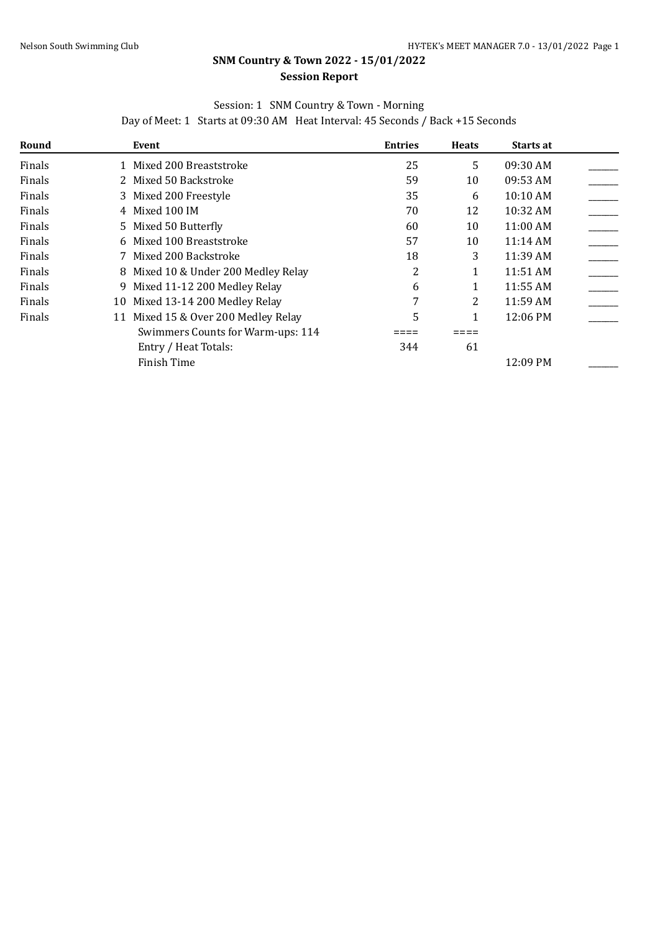## **SNM Country & Town 2022 - 15/01/2022 Session Report**

## Session: 1 SNM Country & Town - Morning

Day of Meet: 1 Starts at 09:30 AM Heat Interval: 45 Seconds / Back +15 Seconds

| Round  | Event                                  | <b>Entries</b> | <b>Heats</b> | <b>Starts at</b> |  |
|--------|----------------------------------------|----------------|--------------|------------------|--|
| Finals | 1 Mixed 200 Breaststroke               | 25             | 5            | 09:30 AM         |  |
| Finals | 2 Mixed 50 Backstroke                  | 59             | 10           | 09:53 AM         |  |
| Finals | 3 Mixed 200 Freestyle                  | 35             | 6            | 10:10 AM         |  |
| Finals | 4 Mixed 100 IM                         | 70             | 12           | 10:32 AM         |  |
| Finals | 5 Mixed 50 Butterfly                   | 60             | 10           | 11:00 AM         |  |
| Finals | 6 Mixed 100 Breaststroke               | 57             | 10           | 11:14 AM         |  |
| Finals | 7 Mixed 200 Backstroke                 | 18             | 3            | 11:39 AM         |  |
| Finals | 8 Mixed 10 & Under 200 Medley Relay    | 2              |              | 11:51 AM         |  |
| Finals | 9 Mixed 11-12 200 Medley Relay         | 6              |              | 11:55 AM         |  |
| Finals | 10 Mixed 13-14 200 Medley Relay        | 7              | 2            | 11:59 AM         |  |
| Finals | Mixed 15 & Over 200 Medley Relay<br>11 | 5              |              | 12:06 PM         |  |
|        | Swimmers Counts for Warm-ups: 114      |                |              |                  |  |
|        | Entry / Heat Totals:                   | 344            | 61           |                  |  |
|        | Finish Time                            |                |              | 12:09 PM         |  |